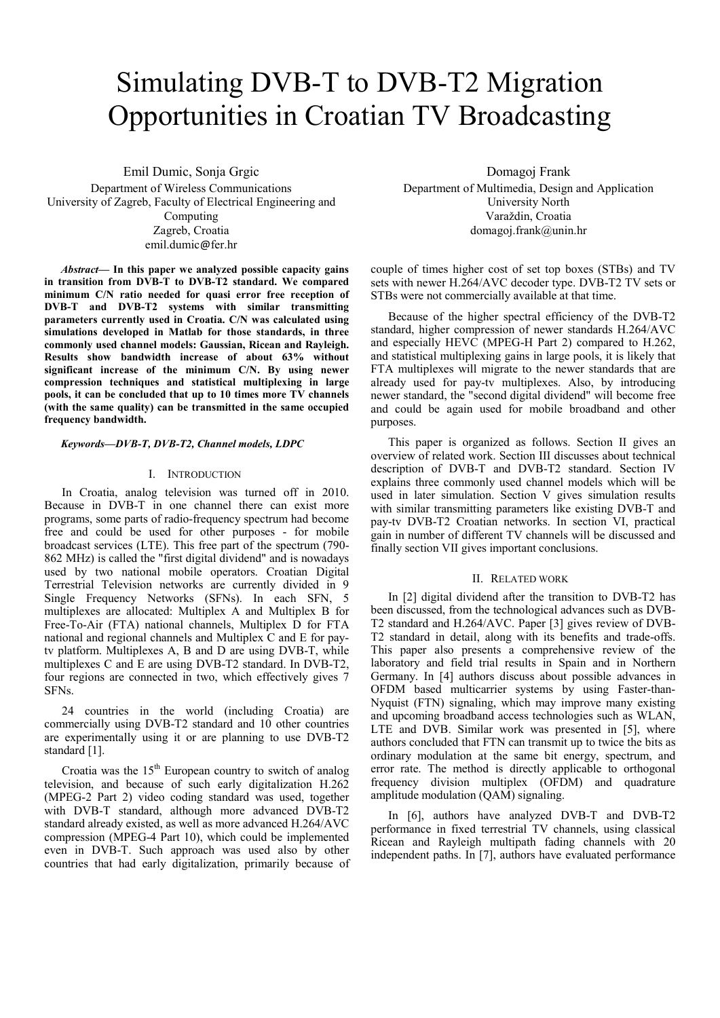# Simulating DVB-T to DVB-T2 Migration Opportunities in Croatian TV Broadcasting

Emil Dumic, Sonja Grgic Department of Wireless Communications University of Zagreb, Faculty of Electrical Engineering and Computing Zagreb, Croatia emil.dumic@fer.hr

*Abstract***— In this paper we analyzed possible capacity gains in transition from DVB-T to DVB-T2 standard. We compared minimum C/N ratio needed for quasi error free reception of DVB-T and DVB-T2 systems with similar transmitting parameters currently used in Croatia. C/N was calculated using simulations developed in Matlab for those standards, in three commonly used channel models: Gaussian, Ricean and Rayleigh. Results show bandwidth increase of about 63% without significant increase of the minimum C/N. By using newer compression techniques and statistical multiplexing in large pools, it can be concluded that up to 10 times more TV channels (with the same quality) can be transmitted in the same occupied frequency bandwidth.** 

## *Keywords—DVB-T, DVB-T2, Channel models, LDPC*

#### I. INTRODUCTION

In Croatia, analog television was turned off in 2010. Because in DVB-T in one channel there can exist more programs, some parts of radio-frequency spectrum had become free and could be used for other purposes - for mobile broadcast services (LTE). This free part of the spectrum (790- 862 MHz) is called the "first digital dividend" and is nowadays used by two national mobile operators. Croatian Digital Terrestrial Television networks are currently divided in 9 Single Frequency Networks (SFNs). In each SFN, 5 multiplexes are allocated: Multiplex A and Multiplex B for Free-To-Air (FTA) national channels, Multiplex D for FTA national and regional channels and Multiplex C and E for paytv platform. Multiplexes A, B and D are using DVB-T, while multiplexes C and E are using DVB-T2 standard. In DVB-T2, four regions are connected in two, which effectively gives 7 SFNs.

24 countries in the world (including Croatia) are commercially using DVB-T2 standard and 10 other countries are experimentally using it or are planning to use DVB-T2 standard [1].

Croatia was the  $15<sup>th</sup>$  European country to switch of analog television, and because of such early digitalization H.262 (MPEG-2 Part 2) video coding standard was used, together with DVB-T standard, although more advanced DVB-T2 standard already existed, as well as more advanced H.264/AVC compression (MPEG-4 Part 10), which could be implemented even in DVB-T. Such approach was used also by other countries that had early digitalization, primarily because of

Domagoj Frank Department of Multimedia, Design and Application University North Varaždin, Croatia domagoj.frank@unin.hr

couple of times higher cost of set top boxes (STBs) and TV sets with newer H.264/AVC decoder type. DVB-T2 TV sets or STBs were not commercially available at that time.

Because of the higher spectral efficiency of the DVB-T2 standard, higher compression of newer standards H.264/AVC and especially HEVC (MPEG-H Part 2) compared to H.262, and statistical multiplexing gains in large pools, it is likely that FTA multiplexes will migrate to the newer standards that are already used for pay-tv multiplexes. Also, by introducing newer standard, the "second digital dividend" will become free and could be again used for mobile broadband and other purposes.

This paper is organized as follows. Section II gives an overview of related work. Section III discusses about technical description of DVB-T and DVB-T2 standard. Section IV explains three commonly used channel models which will be used in later simulation. Section V gives simulation results with similar transmitting parameters like existing DVB-T and pay-tv DVB-T2 Croatian networks. In section VI, practical gain in number of different TV channels will be discussed and finally section VII gives important conclusions.

#### II. RELATED WORK

In [2] digital dividend after the transition to DVB-T2 has been discussed, from the technological advances such as DVB-T2 standard and H.264/AVC. Paper [3] gives review of DVB-T2 standard in detail, along with its benefits and trade-offs. This paper also presents a comprehensive review of the laboratory and field trial results in Spain and in Northern Germany. In [4] authors discuss about possible advances in OFDM based multicarrier systems by using Faster-than-Nyquist (FTN) signaling, which may improve many existing and upcoming broadband access technologies such as WLAN, LTE and DVB. Similar work was presented in [5], where authors concluded that FTN can transmit up to twice the bits as ordinary modulation at the same bit energy, spectrum, and error rate. The method is directly applicable to orthogonal frequency division multiplex (OFDM) and quadrature amplitude modulation (QAM) signaling.

In [6], authors have analyzed DVB-T and DVB-T2 performance in fixed terrestrial TV channels, using classical Ricean and Rayleigh multipath fading channels with 20 independent paths. In [7], authors have evaluated performance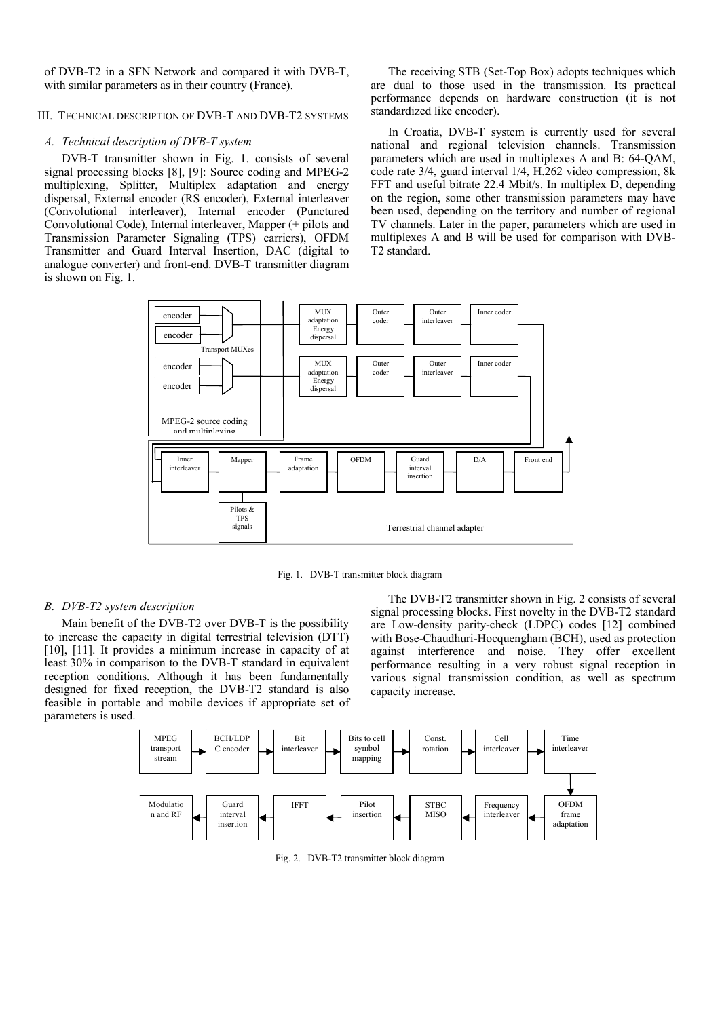of DVB-T2 in a SFN Network and compared it with DVB-T, with similar parameters as in their country (France).

# III. TECHNICAL DESCRIPTION OF DVB-T AND DVB-T2 SYSTEMS

## *A. Technical description of DVB-T system*

DVB-T transmitter shown in Fig. 1. consists of several signal processing blocks [8], [9]: Source coding and MPEG-2 multiplexing, Splitter, Multiplex adaptation and energy dispersal, External encoder (RS encoder), External interleaver (Convolutional interleaver), Internal encoder (Punctured Convolutional Code), Internal interleaver, Mapper (+ pilots and Transmission Parameter Signaling (TPS) carriers), OFDM Transmitter and Guard Interval Insertion, DAC (digital to analogue converter) and front-end. DVB-T transmitter diagram is shown on Fig. 1.

The receiving STB (Set-Top Box) adopts techniques which are dual to those used in the transmission. Its practical performance depends on hardware construction (it is not standardized like encoder).

In Croatia, DVB-T system is currently used for several national and regional television channels. Transmission parameters which are used in multiplexes A and B: 64-QAM, code rate 3/4, guard interval 1/4, H.262 video compression, 8k FFT and useful bitrate 22.4 Mbit/s. In multiplex D, depending on the region, some other transmission parameters may have been used, depending on the territory and number of regional TV channels. Later in the paper, parameters which are used in multiplexes A and B will be used for comparison with DVB-T2 standard.



Fig. 1. DVB-T transmitter block diagram

# *B. DVB-T2 system description*

Main benefit of the DVB-T2 over DVB-T is the possibility to increase the capacity in digital terrestrial television (DTT) [10], [11]. It provides a minimum increase in capacity of at least 30% in comparison to the DVB-T standard in equivalent reception conditions. Although it has been fundamentally designed for fixed reception, the DVB-T2 standard is also feasible in portable and mobile devices if appropriate set of parameters is used.

The DVB-T2 transmitter shown in Fig. 2 consists of several signal processing blocks. First novelty in the DVB-T2 standard are Low-density parity-check (LDPC) codes [12] combined with Bose-Chaudhuri-Hocquengham (BCH), used as protection against interference and noise. They offer excellent performance resulting in a very robust signal reception in various signal transmission condition, as well as spectrum capacity increase.



Fig. 2. DVB-T2 transmitter block diagram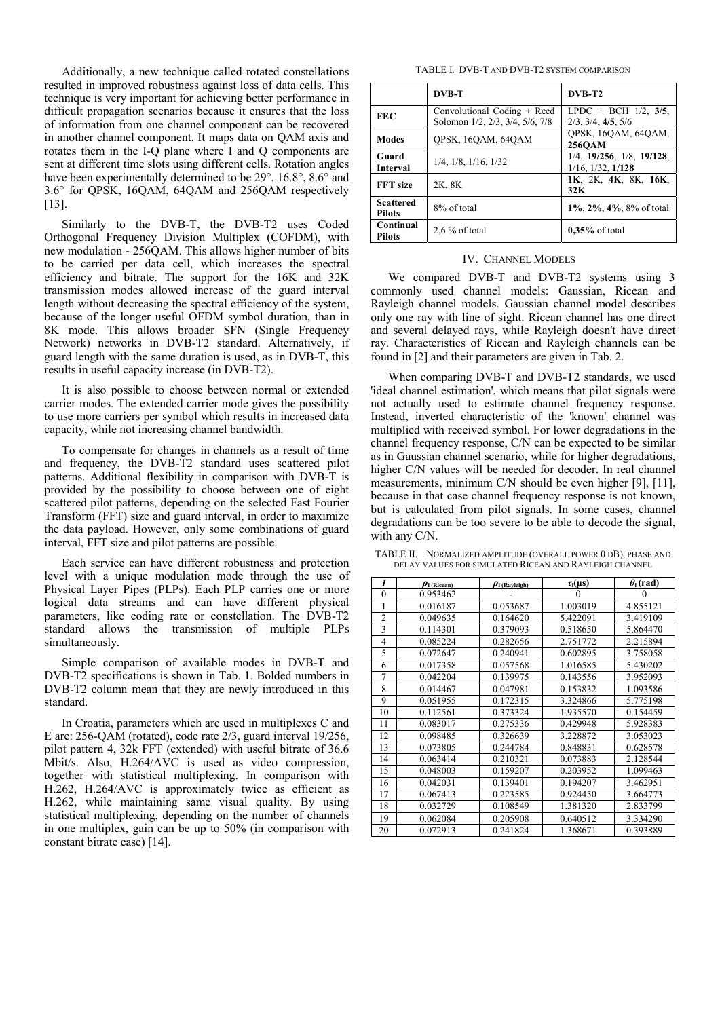Additionally, a new technique called rotated constellations resulted in improved robustness against loss of data cells. This technique is very important for achieving better performance in difficult propagation scenarios because it ensures that the loss of information from one channel component can be recovered in another channel component. It maps data on QAM axis and rotates them in the I-Q plane where I and Q components are sent at different time slots using different cells. Rotation angles have been experimentally determined to be 29°, 16.8°, 8.6° and 3.6° for QPSK, 16QAM, 64QAM and 256QAM respectively [13].

Similarly to the DVB-T, the DVB-T2 uses Coded Orthogonal Frequency Division Multiplex (COFDM), with new modulation - 256QAM. This allows higher number of bits to be carried per data cell, which increases the spectral efficiency and bitrate. The support for the 16K and 32K transmission modes allowed increase of the guard interval length without decreasing the spectral efficiency of the system, because of the longer useful OFDM symbol duration, than in 8K mode. This allows broader SFN (Single Frequency Network) networks in DVB-T2 standard. Alternatively, if guard length with the same duration is used, as in DVB-T, this results in useful capacity increase (in DVB-T2).

It is also possible to choose between normal or extended carrier modes. The extended carrier mode gives the possibility to use more carriers per symbol which results in increased data capacity, while not increasing channel bandwidth.

To compensate for changes in channels as a result of time and frequency, the DVB-T2 standard uses scattered pilot patterns. Additional flexibility in comparison with DVB-T is provided by the possibility to choose between one of eight scattered pilot patterns, depending on the selected Fast Fourier Transform (FFT) size and guard interval, in order to maximize the data payload. However, only some combinations of guard interval, FFT size and pilot patterns are possible.

Each service can have different robustness and protection level with a unique modulation mode through the use of Physical Layer Pipes (PLPs). Each PLP carries one or more logical data streams and can have different physical parameters, like coding rate or constellation. The DVB-T2 standard allows the transmission of multiple PLPs simultaneously.

Simple comparison of available modes in DVB-T and DVB-T2 specifications is shown in Tab. 1. Bolded numbers in DVB-T2 column mean that they are newly introduced in this standard.

In Croatia, parameters which are used in multiplexes C and E are: 256-QAM (rotated), code rate 2/3, guard interval 19/256, pilot pattern 4, 32k FFT (extended) with useful bitrate of 36.6 Mbit/s. Also, H.264/AVC is used as video compression, together with statistical multiplexing. In comparison with H.262, H.264/AVC is approximately twice as efficient as H.262, while maintaining same visual quality. By using statistical multiplexing, depending on the number of channels in one multiplex, gain can be up to 50% (in comparison with constant bitrate case) [14].

TABLE I. DVB-T AND DVB-T2 SYSTEM COMPARISON

|                                   | <b>DVB-T</b>                                                   | DVB-T2                                                             |  |
|-----------------------------------|----------------------------------------------------------------|--------------------------------------------------------------------|--|
| <b>FEC</b>                        | Convolutional Coding + Reed<br>Solomon 1/2, 2/3, 3/4, 5/6, 7/8 | LPDC + BCH $1/2$ , $3/5$ ,<br>$2/3$ , $3/4$ , $4/5$ , $5/6$        |  |
| <b>Modes</b>                      | OPSK, 16OAM, 64OAM                                             | OPSK, 16OAM, 64OAM,<br>256OAM                                      |  |
| Guard<br><b>Interval</b>          | $1/4$ , $1/8$ , $1/16$ , $1/32$                                | $1/4$ , $19/256$ , $1/8$ , $19/128$ ,<br>$1/16$ , $1/32$ , $1/128$ |  |
| <b>FFT</b> size                   | 2K, 8K                                                         | 1K, 2K, 4K, 8K, 16K,<br>32K                                        |  |
| <b>Scattered</b><br><b>Pilots</b> | 8% of total                                                    | $1\%$ , $2\%$ , $4\%$ , $8\%$ of total                             |  |
| Continual<br><b>Pilots</b>        | $2.6\%$ of total                                               | $0.35\%$ of total                                                  |  |

## IV. CHANNEL MODELS

We compared DVB-T and DVB-T2 systems using 3 commonly used channel models: Gaussian, Ricean and Rayleigh channel models. Gaussian channel model describes only one ray with line of sight. Ricean channel has one direct and several delayed rays, while Rayleigh doesn't have direct ray. Characteristics of Ricean and Rayleigh channels can be found in [2] and their parameters are given in Tab. 2.

When comparing DVB-T and DVB-T2 standards, we used 'ideal channel estimation', which means that pilot signals were not actually used to estimate channel frequency response. Instead, inverted characteristic of the 'known' channel was multiplied with received symbol. For lower degradations in the channel frequency response, C/N can be expected to be similar as in Gaussian channel scenario, while for higher degradations, higher C/N values will be needed for decoder. In real channel measurements, minimum C/N should be even higher [9], [11], because in that case channel frequency response is not known, but is calculated from pilot signals. In some cases, channel degradations can be too severe to be able to decode the signal, with any C/N.

TABLE II. NORMALIZED AMPLITUDE (OVERALL POWER 0 DB), PHASE AND DELAY VALUES FOR SIMULATED RICEAN AND RAYLEIGH CHANNEL

| I              | $\boldsymbol{\rho}$ i (Ricean) | $\rho$ i (Rayleigh) | $\tau_i(\mu s)$ | $\theta_i$ (rad) |
|----------------|--------------------------------|---------------------|-----------------|------------------|
| $\theta$       | 0.953462                       |                     | $\Omega$        | $\Omega$         |
| 1              | 0.016187                       | 0.053687            | 1.003019        | 4.855121         |
| $\overline{2}$ | 0.049635                       | 0.164620            | 5.422091        | 3.419109         |
| 3              | 0.114301                       | 0.379093            | 0.518650        | 5.864470         |
| $\overline{4}$ | 0.085224                       | 0.282656            | 2.751772        | 2.215894         |
| 5              | 0.072647                       | 0.240941            | 0.602895        | 3.758058         |
| 6              | 0.017358                       | 0.057568            | 1.016585        | 5.430202         |
| 7              | 0.042204                       | 0.139975            | 0.143556        | 3.952093         |
| 8              | 0.014467                       | 0.047981            | 0.153832        | 1.093586         |
| 9              | 0.051955                       | 0.172315            | 3.324866        | 5.775198         |
| 10             | 0.112561                       | 0.373324            | 1.935570        | 0.154459         |
| 11             | 0.083017                       | 0.275336            | 0.429948        | 5.928383         |
| 12             | 0.098485                       | 0.326639            | 3.228872        | 3.053023         |
| 13             | 0.073805                       | 0.244784            | 0.848831        | 0.628578         |
| 14             | 0.063414                       | 0.210321            | 0.073883        | 2.128544         |
| 15             | 0.048003                       | 0.159207            | 0.203952        | 1.099463         |
| 16             | 0.042031                       | 0.139401            | 0.194207        | 3.462951         |
| 17             | 0.067413                       | 0.223585            | 0.924450        | 3.664773         |
| 18             | 0.032729                       | 0.108549            | 1.381320        | 2.833799         |
| 19             | 0.062084                       | 0.205908            | 0.640512        | 3.334290         |
| 20             | 0.072913                       | 0.241824            | 1.368671        | 0.393889         |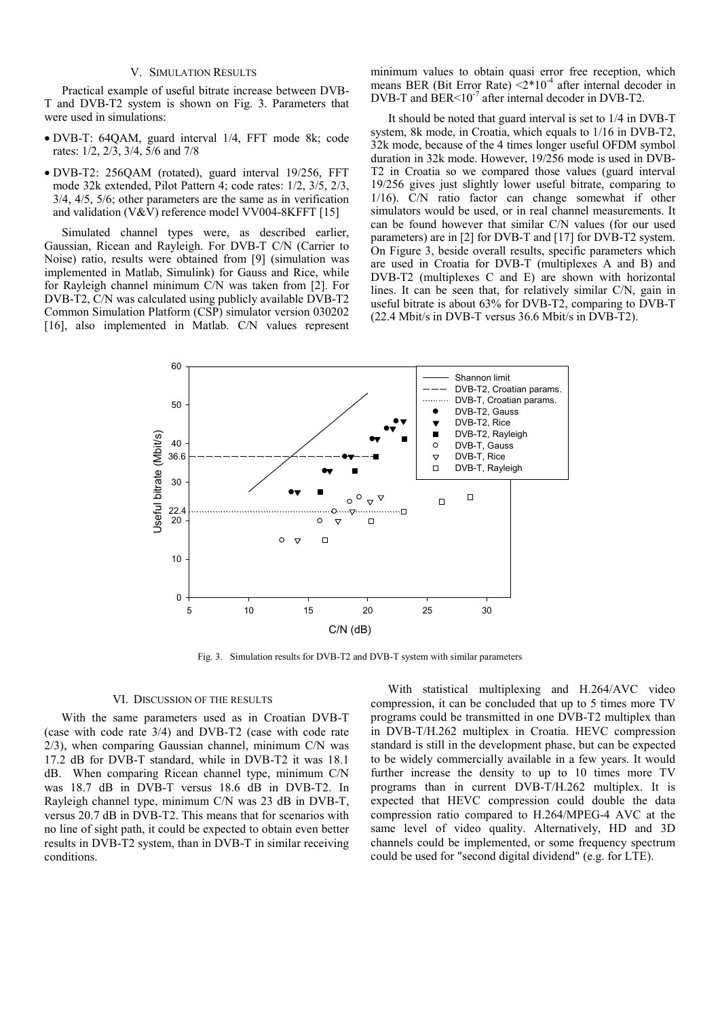# V. SIMULATION RESULTS

Practical example of useful bitrate increase between DVB-T and DVB-T2 system is shown on Fig. 3. Parameters that were used in simulations:

- DVB-T: 64QAM, guard interval 1/4, FFT mode 8k; code rates: 1/2, 2/3, 3/4, 5/6 and 7/8
- DVB-T2: 256QAM (rotated), guard interval 19/256, FFT mode 32k extended, Pilot Pattern 4; code rates: 1/2, 3/5, 2/3, 3/4, 4/5, 5/6; other parameters are the same as in verification and validation (V&V) reference model VV004-8KFFT [15]

Simulated channel types were, as described earlier, Gaussian, Ricean and Rayleigh. For DVB-T C/N (Carrier to Noise) ratio, results were obtained from [9] (simulation was implemented in Matlab, Simulink) for Gauss and Rice, while for Rayleigh channel minimum C/N was taken from [2]. For DVB-T2, C/N was calculated using publicly available DVB-T2 Common Simulation Platform (CSP) simulator version 030202 [16], also implemented in Matlab. C/N values represent minimum values to obtain quasi error free reception, which means BER (Bit Error Rate)  $\langle 2*10^{-4}$  after internal decoder in DVB-T and BER $\leq 10^{-7}$  after internal decoder in DVB-T2.

It should be noted that guard interval is set to 1/4 in DVB-T system, 8k mode, in Croatia, which equals to 1/16 in DVB-T2, 32k mode, because of the 4 times longer useful OFDM symbol duration in 32k mode. However, 19/256 mode is used in DVB-T2 in Croatia so we compared those values (guard interval 19/256 gives just slightly lower useful bitrate, comparing to 1/16). C/N ratio factor can change somewhat if other simulators would be used, or in real channel measurements. It can be found however that similar C/N values (for our used parameters) are in [2] for DVB-T and [17] for DVB-T2 system. On Figure 3, beside overall results, specific parameters which are used in Croatia for DVB-T (multiplexes A and B) and DVB-T2 (multiplexes C and E) are shown with horizontal lines. It can be seen that, for relatively similar C/N, gain in useful bitrate is about 63% for DVB-T2, comparing to DVB-T (22.4 Mbit/s in DVB-T versus 36.6 Mbit/s in DVB-T2).



Fig. 3. Simulation results for DVB-T2 and DVB-T system with similar parameters

## VI. DISCUSSION OF THE RESULTS

With the same parameters used as in Croatian DVB-T (case with code rate 3/4) and DVB-T2 (case with code rate 2/3), when comparing Gaussian channel, minimum C/N was 17.2 dB for DVB-T standard, while in DVB-T2 it was 18.1 dB. When comparing Ricean channel type, minimum C/N was 18.7 dB in DVB-T versus 18.6 dB in DVB-T2. In Rayleigh channel type, minimum C/N was 23 dB in DVB-T, versus 20.7 dB in DVB-T2. This means that for scenarios with no line of sight path, it could be expected to obtain even better results in DVB-T2 system, than in DVB-T in similar receiving conditions.

With statistical multiplexing and H.264/AVC video compression, it can be concluded that up to 5 times more TV programs could be transmitted in one DVB-T2 multiplex than in DVB-T/H.262 multiplex in Croatia. HEVC compression standard is still in the development phase, but can be expected to be widely commercially available in a few years. It would further increase the density to up to 10 times more TV programs than in current DVB-T/H.262 multiplex. It is expected that HEVC compression could double the data compression ratio compared to H.264/MPEG-4 AVC at the same level of video quality. Alternatively, HD and 3D channels could be implemented, or some frequency spectrum could be used for "second digital dividend" (e.g. for LTE).